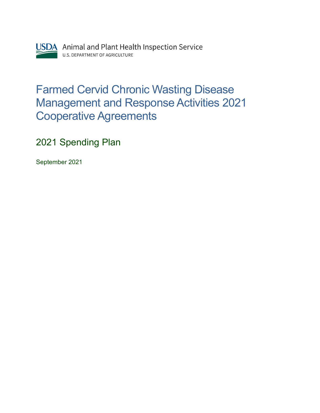

## Farmed Cervid Chronic Wasting Disease Management and Response Activities 2021 Cooperative Agreements

2021 Spending Plan

September 2021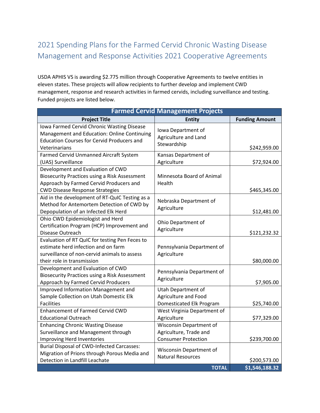## 2021 Spending Plans for the Farmed Cervid Chronic Wasting Disease Management and Response Activities 2021 Cooperative Agreements

USDA APHIS VS is awarding \$2.775 million through Cooperative Agreements to twelve entities in eleven states. These projects will allow recipients to further develop and implement CWD management, response and research activities in farmed cervids, including surveillance and testing. Funded projects are listed below.

|                                                                                                                                                                         |                                                                                 | <b>Farmed Cervid Management Projects</b> |  |  |  |
|-------------------------------------------------------------------------------------------------------------------------------------------------------------------------|---------------------------------------------------------------------------------|------------------------------------------|--|--|--|
| <b>Project Title</b>                                                                                                                                                    | <b>Entity</b>                                                                   | <b>Funding Amount</b>                    |  |  |  |
| Iowa Farmed Cervid Chronic Wasting Disease<br>Management and Education: Online Continuing<br><b>Education Courses for Cervid Producers and</b><br>Veterinarians         | Iowa Department of<br>Agriculture and Land<br>Stewardship                       | \$242,959.00                             |  |  |  |
| Farmed Cervid Unmanned Aircraft System<br>(UAS) Surveillance                                                                                                            | Kansas Department of<br>Agriculture                                             | \$72,924.00                              |  |  |  |
| Development and Evaluation of CWD<br>Biosecurity Practices using a Risk Assessment<br>Approach by Farmed Cervid Producers and<br><b>CWD Disease Response Strategies</b> | Minnesota Board of Animal<br>Health                                             | \$465,345.00                             |  |  |  |
| Aid in the development of RT-QuIC Testing as a<br>Method for Antemortem Detection of CWD by<br>Depopulation of an Infected Elk Herd                                     | Nebraska Department of<br>Agriculture                                           | \$12,481.00                              |  |  |  |
| Ohio CWD Epidemiologist and Herd<br>Certification Program (HCP) Improvement and<br>Disease Outreach                                                                     | Ohio Department of<br>Agriculture                                               | \$121,232.32                             |  |  |  |
| Evaluation of RT QuIC for testing Pen Feces to<br>estimate herd infection and on farm<br>surveillance of non-cervid animals to assess<br>their role in transmission     | Pennsylvania Department of<br>Agriculture                                       | \$80,000.00                              |  |  |  |
| Development and Evaluation of CWD<br><b>Biosecurity Practices using a Risk Assessment</b><br>Approach by Farmed Cervid Producers                                        | Pennsylvania Department of<br>Agriculture                                       | \$7,905.00                               |  |  |  |
| Improved Information Management and<br>Sample Collection on Utah Domestic Elk<br><b>Facilities</b>                                                                      | Utah Department of<br>Agriculture and Food<br>Domesticated Elk Program          | \$25,740.00                              |  |  |  |
| <b>Enhancement of Farmed Cervid CWD</b><br><b>Educational Outreach</b>                                                                                                  | West Virginia Department of<br>Agriculture                                      | \$77,329.00                              |  |  |  |
| <b>Enhancing Chronic Wasting Disease</b><br>Surveillance and Management through<br>Improving Herd Inventories                                                           | Wisconsin Department of<br>Agriculture, Trade and<br><b>Consumer Protection</b> | \$239,700.00                             |  |  |  |
| <b>Burial Disposal of CWD-Infected Carcasses:</b><br>Migration of Prions through Porous Media and<br>Detection in Landfill Leachate                                     | Wisconsin Department of<br><b>Natural Resources</b><br><b>TOTAL</b>             | \$200,573.00<br>\$1,546,188.32           |  |  |  |